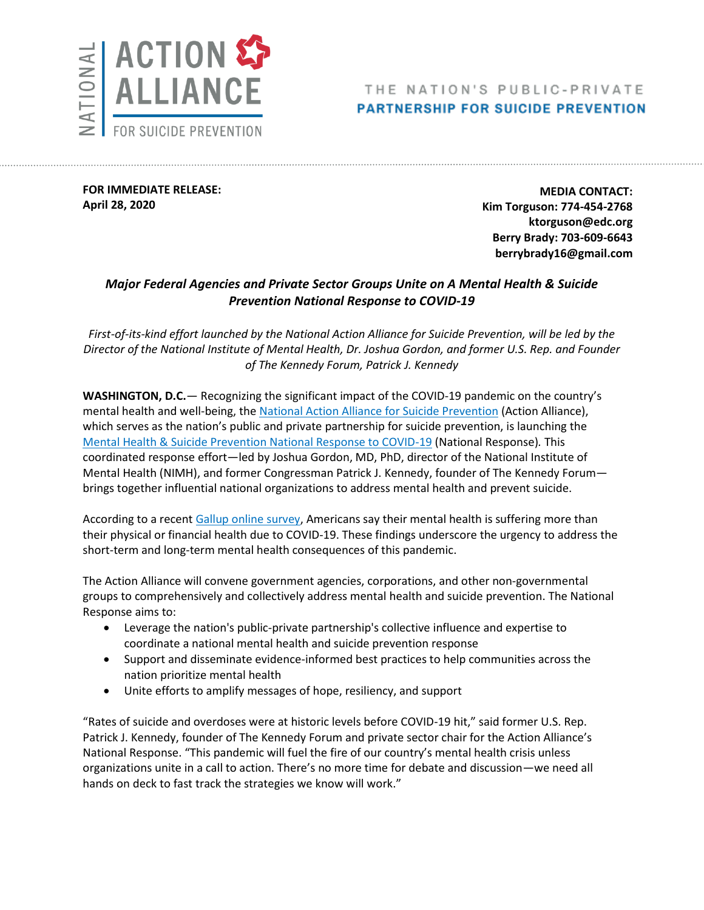

## THE NATION'S PUBLIC-PRIVATE **PARTNERSHIP FOR SUICIDE PREVENTION**

**FOR IMMEDIATE RELEASE: April 28, 2020**

**MEDIA CONTACT: Kim Torguson: 774-454-2768 ktorguson@edc.org Berry Brady: 703-609-6643 berrybrady16@gmail.com**

## *Major Federal Agencies and Private Sector Groups Unite on A Mental Health & Suicide Prevention National Response to COVID-19*

*First-of-its-kind effort launched by the National Action Alliance for Suicide Prevention, will be led by the Director of the National Institute of Mental Health, Dr. Joshua Gordon, and former U.S. Rep. and Founder of The Kennedy Forum, Patrick J. Kennedy*

**WASHINGTON, D.C.**— Recognizing the significant impact of the COVID-19 pandemic on the country's mental health and well-being, th[e National Action Alliance for Suicide Prevention](https://theactionalliance.org/) (Action Alliance), which serves as the nation's public and private partnership for suicide prevention, is launching the [Mental Health & Suicide Prevention National Response to COVID-19](https://theactionalliance.org/covid19) (National Response)*.* This coordinated response effort—led by Joshua Gordon, MD, PhD, director of the National Institute of Mental Health (NIMH), and former Congressman Patrick J. Kennedy, founder of The Kennedy Forum brings together influential national organizations to address mental health and prevent suicide.

According to a recent [Gallup online survey,](https://news.gallup.com/poll/308420/americans-say-covid-hurting-mental-health.aspx) Americans say their mental health is suffering more than their physical or financial health due to COVID-19. These findings underscore the urgency to address the short-term and long-term mental health consequences of this pandemic.

The Action Alliance will convene government agencies, corporations, and other non-governmental groups to comprehensively and collectively address mental health and suicide prevention. The National Response aims to:

- Leverage the nation's public-private partnership's collective influence and expertise to coordinate a national mental health and suicide prevention response
- Support and disseminate evidence-informed best practices to help communities across the nation prioritize mental health
- Unite efforts to amplify messages of hope, resiliency, and support

"Rates of suicide and overdoses were at historic levels before COVID-19 hit," said former U.S. Rep. Patrick J. Kennedy, founder of The Kennedy Forum and private sector chair for the Action Alliance's National Response. "This pandemic will fuel the fire of our country's mental health crisis unless organizations unite in a call to action. There's no more time for debate and discussion—we need all hands on deck to fast track the strategies we know will work."